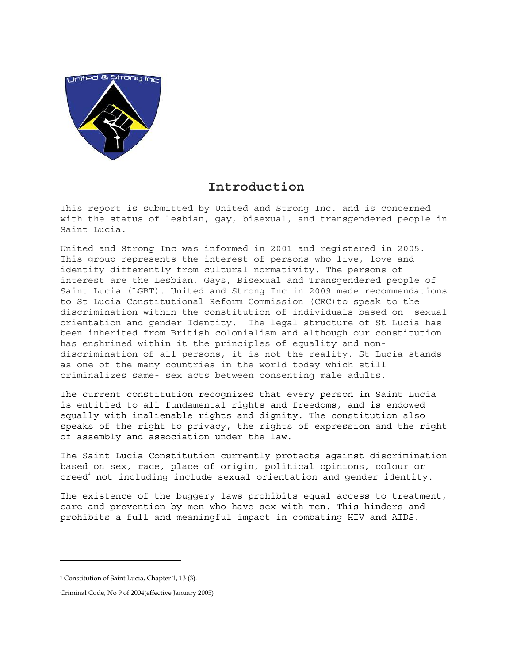

## **Introduction**

This report is submitted by United and Strong Inc. and is concerned with the status of lesbian, gay, bisexual, and transgendered people in Saint Lucia.

United and Strong Inc was informed in 2001 and registered in 2005. This group represents the interest of persons who live, love and identify differently from cultural normativity. The persons of interest are the Lesbian, Gays, Bisexual and Transgendered people of Saint Lucia (LGBT). United and Strong Inc in 2009 made recommendations to St Lucia Constitutional Reform Commission (CRC)to speak to the discrimination within the constitution of individuals based on sexual orientation and gender Identity. The legal structure of St Lucia has been inherited from British colonialism and although our constitution has enshrined within it the principles of equality and nondiscrimination of all persons, it is not the reality. St Lucia stands as one of the many countries in the world today which still criminalizes same- sex acts between consenting male adults.

The current constitution recognizes that every person in Saint Lucia is entitled to all fundamental rights and freedoms, and is endowed equally with inalienable rights and dignity. The constitution also speaks of the right to privacy, the rights of expression and the right of assembly and association under the law.

The Saint Lucia Constitution currently protects against discrimination based on sex, race, place of origin, political opinions, colour or  $c$ reed<sup>1</sup> not including include sexual orientation and gender identity.

The existence of the buggery laws prohibits equal access to treatment, care and prevention by men who have sex with men. This hinders and prohibits a full and meaningful impact in combating HIV and AIDS.

<sup>&</sup>lt;sup>1</sup> Constitution of Saint Lucia, Chapter 1, 13 (3).

Criminal Code, No 9 of 2004(effective January 2005)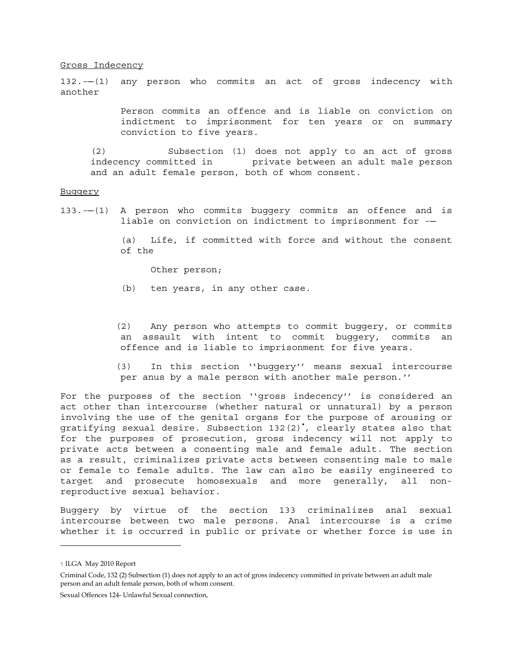Gross Indecency

 $132. --(1)$  any person who commits an act of gross indecency with another

> Person commits an offence and is liable on conviction on indictment to imprisonment for ten years or on summary conviction to five years.

(2) Subsection (1) does not apply to an act of gross indecency committed in private between an adult male person and an adult female person, both of whom consent.

## **Buggery**

133.---(1) A person who commits buggery commits an offence and is liable on conviction on indictment to imprisonment for --

> (a) Life, if committed with force and without the consent of the

Other person;

(b) ten years, in any other case.

 (2) Any person who attempts to commit buggery, or commits an assault with intent to commit buggery, commits an offence and is liable to imprisonment for five years.

 (3) In this section ''buggery'' means sexual intercourse per anus by a male person with another male person.''

For the purposes of the section ''gross indecency'' is considered an act other than intercourse (whether natural or unnatural) by a person involving the use of the genital organs for the purpose of arousing or gratifying sexual desire. Subsection 132(2)• , clearly states also that for the purposes of prosecution, gross indecency will not apply to private acts between a consenting male and female adult. The section as a result, criminalizes private acts between consenting male to male or female to female adults. The law can also be easily engineered to target and prosecute homosexuals and more generally, all nonreproductive sexual behavior.

Buggery by virtue of the section 133 criminalizes anal sexual intercourse between two male persons. Anal intercourse is a crime whether it is occurred in public or private or whether force is use in

Sexual Offences 124- Unlawful Sexual connection,

<sup>-</sup> ILGA May 2010 Report

Criminal Code, 132 (2) Subsection (1) does not apply to an act of gross indecency committed in private between an adult male person and an adult female person, both of whom consent.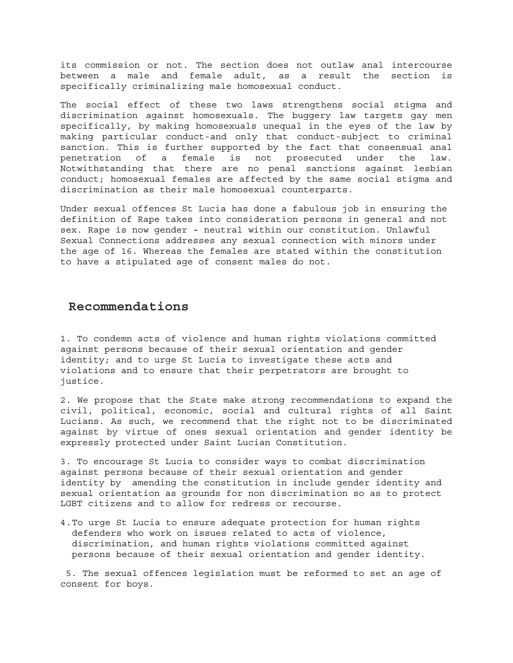its commission or not. The section does not outlaw anal intercourse between a male and female adult, as a result the section is specifically criminalizing male homosexual conduct.

The social effect of these two laws strengthens social stigma and discrimination against homosexuals. The buggery law targets gay men specifically, by making homosexuals unequal in the eyes of the law by making particular conduct-and only that conduct-subject to criminal sanction. This is further supported by the fact that consensual anal penetration of a female is not prosecuted under the law. Notwithstanding that there are no penal sanctions against lesbian conduct; homosexual females are affected by the same social stigma and discrimination as their male homosexual counterparts.

Under sexual offences St Lucia has done a fabulous job in ensuring the definition of Rape takes into consideration persons in general and not sex. Rape is now gender - neutral within our constitution. Unlawful Sexual Connections addresses any sexual connection with minors under the age of 16. Whereas the females are stated within the constitution to have a stipulated age of consent males do not.

## **Recommendations**

1. To condemn acts of violence and human rights violations committed against persons because of their sexual orientation and gender identity; and to urge St Lucia to investigate these acts and violations and to ensure that their perpetrators are brought to justice.

2. We propose that the State make strong recommendations to expand the civil, political, economic, social and cultural rights of all Saint Lucians. As such, we recommend that the right not to be discriminated against by virtue of ones sexual orientation and gender identity be expressly protected under Saint Lucian Constitution.

3. To encourage St Lucia to consider ways to combat discrimination against persons because of their sexual orientation and gender identity by amending the constitution in include gender identity and sexual orientation as grounds for non discrimination so as to protect LGBT citizens and to allow for redress or recourse.

4.To urge St Lucia to ensure adequate protection for human rights defenders who work on issues related to acts of violence, discrimination, and human rights violations committed against persons because of their sexual orientation and gender identity.

 5. The sexual offences legislation must be reformed to set an age of consent for boys.